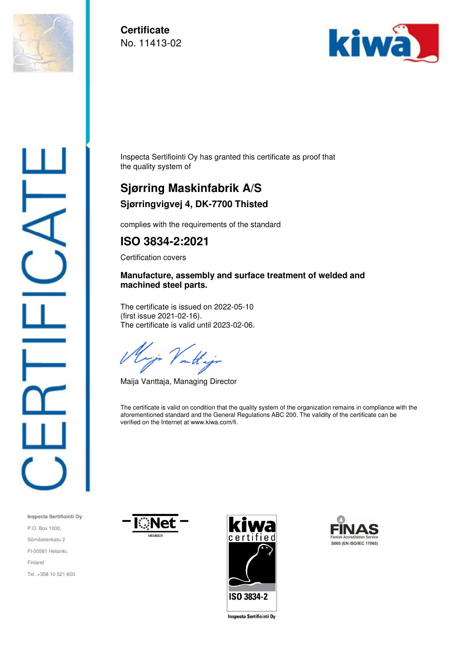

**Certificate**  No. 11413-02



Inspecta Sertifiointi Oy has granted this certificate as proof that the quality system of

## **Sjørring Maskinfabrik A/S Sjørringvigvej 4, DK-7700 Thisted**

complies with the requirements of the standard

## **ISO 3834-2:2021**

Certification covers

## **Manufacture, assembly and surface treatment of welded and machined steel parts.**

The certificate is issued on 2022-05-10 (first issue 2021-02-16). The certificate is valid until 2023-02-06.

on the

Maija Vanttaja, Managing Director

The certificate is valid on condition that the quality system of the organization remains in compliance with the aforementioned standard and the General Regulations ABC 200. The validity of the certificate can be verified on the Internet at www.kiwa.com/fi.









**Inspecta Sertificinti Oy**